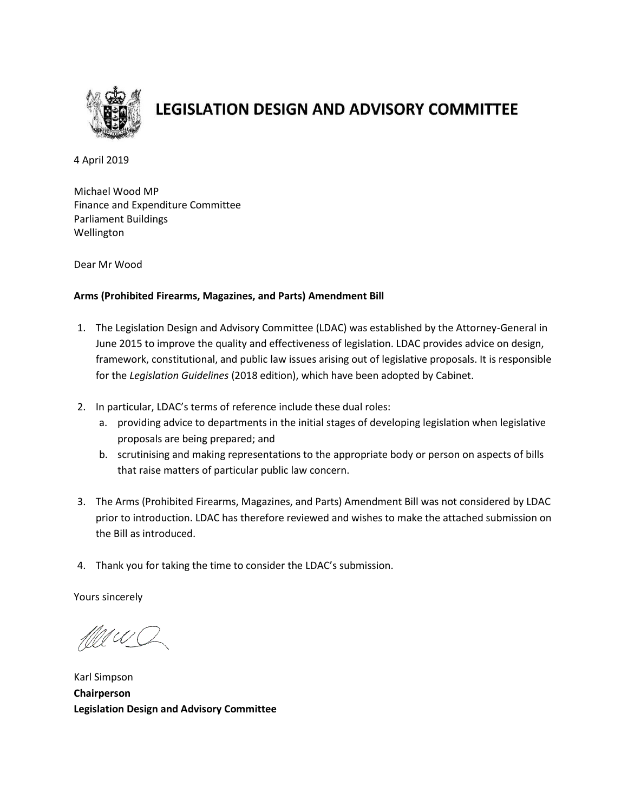

# **LEGISLATION DESIGN AND ADVISORY COMMITTEE**

4 April 2019

Michael Wood MP Finance and Expenditure Committee Parliament Buildings Wellington

Dear Mr Wood

## **Arms (Prohibited Firearms, Magazines, and Parts) Amendment Bill**

- 1. The Legislation Design and Advisory Committee (LDAC) was established by the Attorney-General in June 2015 to improve the quality and effectiveness of legislation. LDAC provides advice on design, framework, constitutional, and public law issues arising out of legislative proposals. It is responsible for the *Legislation Guidelines* (2018 edition), which have been adopted by Cabinet.
- 2. In particular, LDAC's terms of reference include these dual roles:
	- a. providing advice to departments in the initial stages of developing legislation when legislative proposals are being prepared; and
	- b. scrutinising and making representations to the appropriate body or person on aspects of bills that raise matters of particular public law concern.
- 3. The Arms (Prohibited Firearms, Magazines, and Parts) Amendment Bill was not considered by LDAC prior to introduction. LDAC has therefore reviewed and wishes to make the attached submission on the Bill as introduced.
- 4. Thank you for taking the time to consider the LDAC's submission.

Yours sincerely

MU U C

Karl Simpson **Chairperson Legislation Design and Advisory Committee**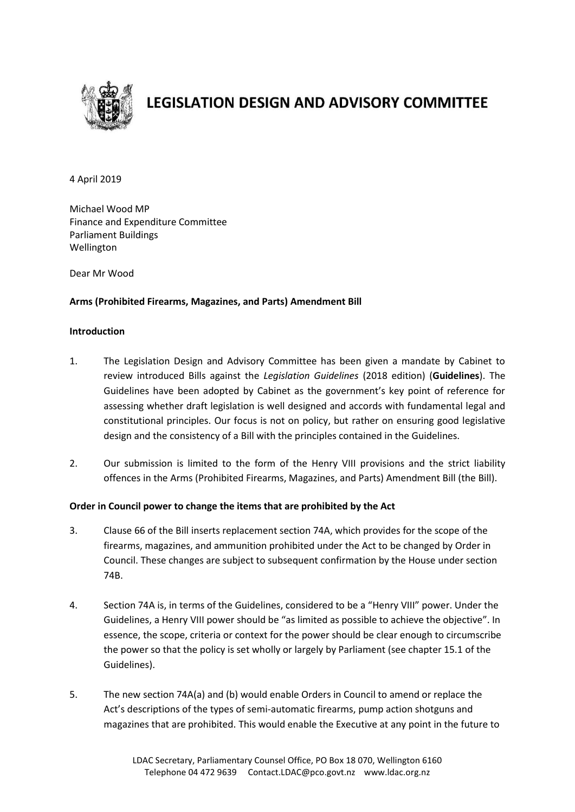

## **LEGISLATION DESIGN AND ADVISORY COMMITTEE**

### 4 April 2019

Michael Wood MP Finance and Expenditure Committee Parliament Buildings Wellington

Dear Mr Wood

## **Arms (Prohibited Firearms, Magazines, and Parts) Amendment Bill**

### **Introduction**

- 1. The Legislation Design and Advisory Committee has been given a mandate by Cabinet to review introduced Bills against the *Legislation Guidelines* (2018 edition) (**Guidelines**). The Guidelines have been adopted by Cabinet as the government's key point of reference for assessing whether draft legislation is well designed and accords with fundamental legal and constitutional principles. Our focus is not on policy, but rather on ensuring good legislative design and the consistency of a Bill with the principles contained in the Guidelines.
- 2. Our submission is limited to the form of the Henry VIII provisions and the strict liability offences in the Arms (Prohibited Firearms, Magazines, and Parts) Amendment Bill (the Bill).

#### **Order in Council power to change the items that are prohibited by the Act**

- 3. Clause 66 of the Bill inserts replacement section 74A, which provides for the scope of the firearms, magazines, and ammunition prohibited under the Act to be changed by Order in Council. These changes are subject to subsequent confirmation by the House under section 74B.
- 4. Section 74A is, in terms of the Guidelines, considered to be a "Henry VIII" power. Under the Guidelines, a Henry VIII power should be "as limited as possible to achieve the objective". In essence, the scope, criteria or context for the power should be clear enough to circumscribe the power so that the policy is set wholly or largely by Parliament (see chapter 15.1 of the Guidelines).
- 5. The new section 74A(a) and (b) would enable Orders in Council to amend or replace the Act's descriptions of the types of semi-automatic firearms, pump action shotguns and magazines that are prohibited. This would enable the Executive at any point in the future to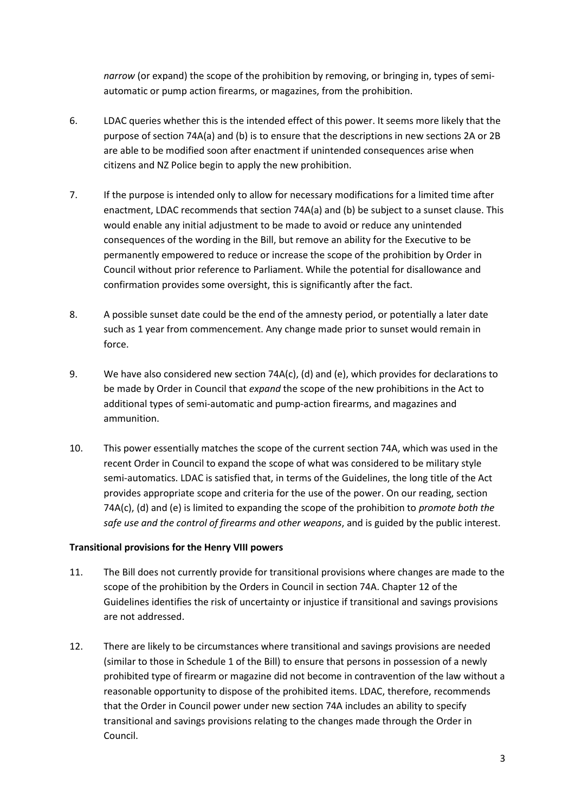*narrow* (or expand) the scope of the prohibition by removing, or bringing in, types of semiautomatic or pump action firearms, or magazines, from the prohibition.

- 6. LDAC queries whether this is the intended effect of this power. It seems more likely that the purpose of section 74A(a) and (b) is to ensure that the descriptions in new sections 2A or 2B are able to be modified soon after enactment if unintended consequences arise when citizens and NZ Police begin to apply the new prohibition.
- 7. If the purpose is intended only to allow for necessary modifications for a limited time after enactment, LDAC recommends that section 74A(a) and (b) be subject to a sunset clause. This would enable any initial adjustment to be made to avoid or reduce any unintended consequences of the wording in the Bill, but remove an ability for the Executive to be permanently empowered to reduce or increase the scope of the prohibition by Order in Council without prior reference to Parliament. While the potential for disallowance and confirmation provides some oversight, this is significantly after the fact.
- 8. A possible sunset date could be the end of the amnesty period, or potentially a later date such as 1 year from commencement. Any change made prior to sunset would remain in force.
- 9. We have also considered new section 74A(c), (d) and (e), which provides for declarations to be made by Order in Council that *expand* the scope of the new prohibitions in the Act to additional types of semi-automatic and pump-action firearms, and magazines and ammunition.
- 10. This power essentially matches the scope of the current section 74A, which was used in the recent Order in Council to expand the scope of what was considered to be military style semi-automatics. LDAC is satisfied that, in terms of the Guidelines, the long title of the Act provides appropriate scope and criteria for the use of the power. On our reading, section 74A(c), (d) and (e) is limited to expanding the scope of the prohibition to *promote both the safe use and the control of firearms and other weapons*, and is guided by the public interest.

## **Transitional provisions for the Henry VIII powers**

- 11. The Bill does not currently provide for transitional provisions where changes are made to the scope of the prohibition by the Orders in Council in section 74A. Chapter 12 of the Guidelines identifies the risk of uncertainty or injustice if transitional and savings provisions are not addressed.
- 12. There are likely to be circumstances where transitional and savings provisions are needed (similar to those in Schedule 1 of the Bill) to ensure that persons in possession of a newly prohibited type of firearm or magazine did not become in contravention of the law without a reasonable opportunity to dispose of the prohibited items. LDAC, therefore, recommends that the Order in Council power under new section 74A includes an ability to specify transitional and savings provisions relating to the changes made through the Order in Council.